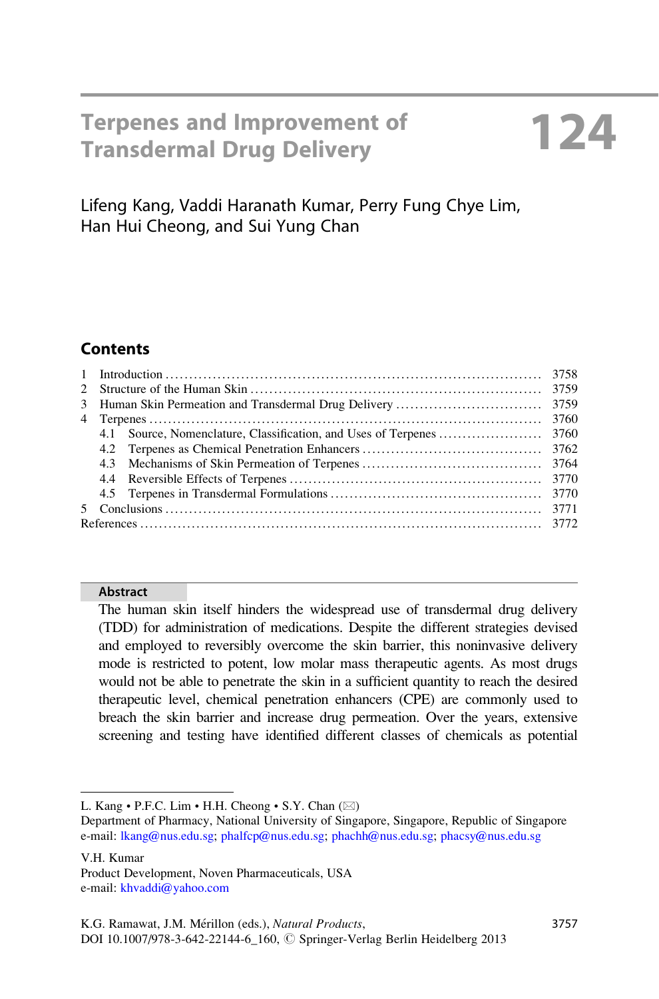# Terpenes and Improvement of **124**<br>Transdermal Drug Delivery

# Lifeng Kang, Vaddi Haranath Kumar, Perry Fung Chye Lim, Han Hui Cheong, and Sui Yung Chan

## **Contents**

#### Abstract

The human skin itself hinders the widespread use of transdermal drug delivery (TDD) for administration of medications. Despite the different strategies devised and employed to reversibly overcome the skin barrier, this noninvasive delivery mode is restricted to potent, low molar mass therapeutic agents. As most drugs would not be able to penetrate the skin in a sufficient quantity to reach the desired therapeutic level, chemical penetration enhancers (CPE) are commonly used to breach the skin barrier and increase drug permeation. Over the years, extensive screening and testing have identified different classes of chemicals as potential

L. Kang • P.F.C. Lim • H.H. Cheong • S.Y. Chan  $(\boxtimes)$ 

V.H. Kumar

Product Development, Noven Pharmaceuticals, USA e-mail: [khvaddi@yahoo.com](mailto:khvaddi@yahoo.com)

Department of Pharmacy, National University of Singapore, Singapore, Republic of Singapore e-mail: [lkang@nus.edu.sg;](mailto:lkang@nus.edu.sg) [phalfcp@nus.edu.sg;](mailto:phalfcp@nus.edu.sg) [phachh@nus.edu.sg](mailto:phachh@nus.edu.sg); [phacsy@nus.edu.sg](mailto:phacsy@nus.edu.sg)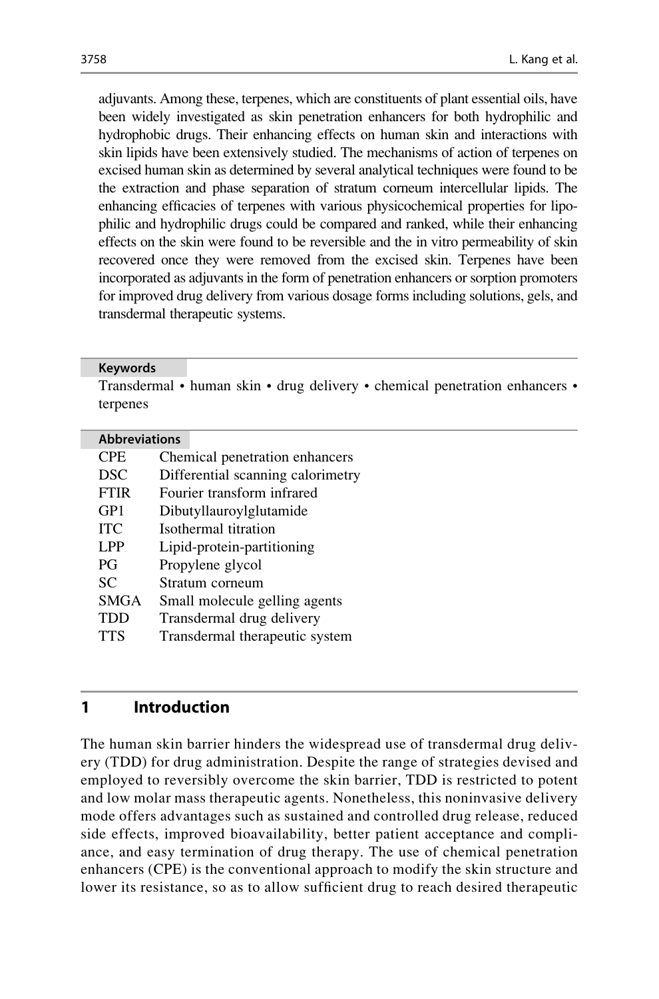adjuvants. Among these, terpenes, which are constituents of plant essential oils, have been widely investigated as skin penetration enhancers for both hydrophilic and hydrophobic drugs. Their enhancing effects on human skin and interactions with skin lipids have been extensively studied. The mechanisms of action of terpenes on excised human skin as determined by several analytical techniques were found to be the extraction and phase separation of stratum corneum intercellular lipids. The enhancing efficacies of terpenes with various physicochemical properties for lipophilic and hydrophilic drugs could be compared and ranked, while their enhancing effects on the skin were found to be reversible and the in vitro permeability of skin recovered once they were removed from the excised skin. Terpenes have been incorporated as adjuvants in the form of penetration enhancers or sorption promoters for improved drug delivery from various dosage forms including solutions, gels, and transdermal therapeutic systems.

#### Keywords

Transdermal • human skin • drug delivery • chemical penetration enhancers • terpenes

| <b>Abbreviations</b> |                                   |  |  |  |  |  |  |
|----------------------|-----------------------------------|--|--|--|--|--|--|
| <b>CPE</b>           | Chemical penetration enhancers    |  |  |  |  |  |  |
| <b>DSC</b>           | Differential scanning calorimetry |  |  |  |  |  |  |
| <b>FTIR</b>          | Fourier transform infrared        |  |  |  |  |  |  |
| GP <sub>1</sub>      | Dibutyllauroylglutamide           |  |  |  |  |  |  |
| <b>ITC</b>           | Isothermal titration              |  |  |  |  |  |  |
| <b>LPP</b>           | Lipid-protein-partitioning        |  |  |  |  |  |  |
| <b>PG</b>            | Propylene glycol                  |  |  |  |  |  |  |
| SC.                  | Stratum corneum                   |  |  |  |  |  |  |
| <b>SMGA</b>          | Small molecule gelling agents     |  |  |  |  |  |  |
| <b>TDD</b>           | Transdermal drug delivery         |  |  |  |  |  |  |
| <b>TTS</b>           | Transdermal therapeutic system    |  |  |  |  |  |  |
|                      |                                   |  |  |  |  |  |  |

#### 1 Introduction

The human skin barrier hinders the widespread use of transdermal drug delivery (TDD) for drug administration. Despite the range of strategies devised and employed to reversibly overcome the skin barrier, TDD is restricted to potent and low molar mass therapeutic agents. Nonetheless, this noninvasive delivery mode offers advantages such as sustained and controlled drug release, reduced side effects, improved bioavailability, better patient acceptance and compliance, and easy termination of drug therapy. The use of chemical penetration enhancers (CPE) is the conventional approach to modify the skin structure and lower its resistance, so as to allow sufficient drug to reach desired therapeutic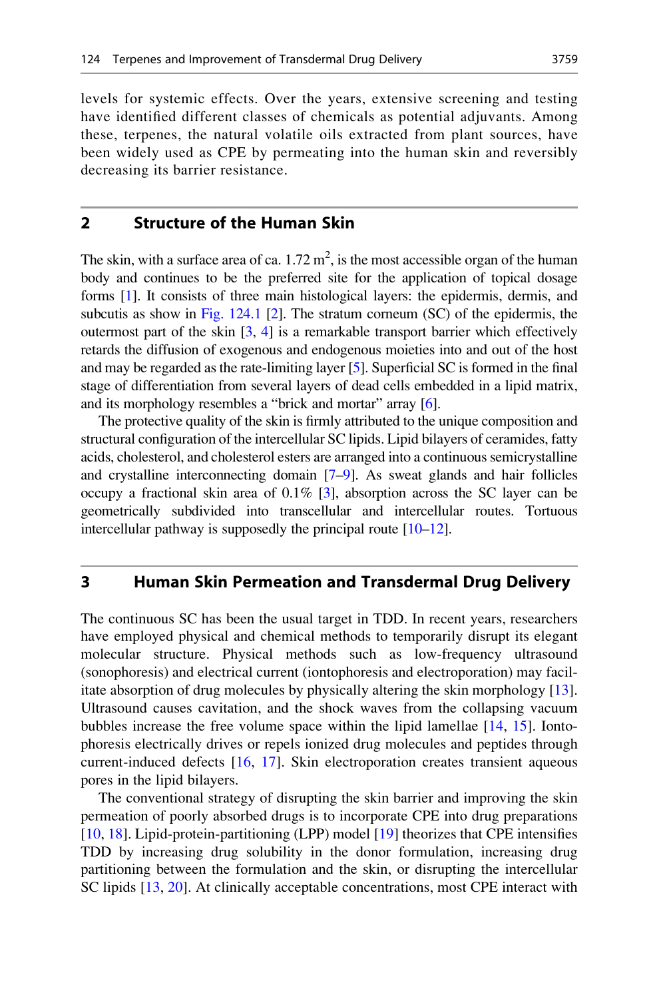levels for systemic effects. Over the years, extensive screening and testing have identified different classes of chemicals as potential adjuvants. Among these, terpenes, the natural volatile oils extracted from plant sources, have been widely used as CPE by permeating into the human skin and reversibly decreasing its barrier resistance.

#### 2 Structure of the Human Skin

The skin, with a surface area of ca.  $1.72 \text{ m}^2$ , is the most accessible organ of the human body and continues to be the preferred site for the application of topical dosage forms [\[1](#page-15-0)]. It consists of three main histological layers: the epidermis, dermis, and subcutis as show in [Fig. 124.1](#page-3-0) [[2\]](#page-15-0). The stratum corneum (SC) of the epidermis, the outermost part of the skin  $[3, 4]$  $[3, 4]$  $[3, 4]$  $[3, 4]$  $[3, 4]$  is a remarkable transport barrier which effectively retards the diffusion of exogenous and endogenous moieties into and out of the host and may be regarded as the rate-limiting layer [\[5](#page-15-0)]. Superficial SC is formed in the final stage of differentiation from several layers of dead cells embedded in a lipid matrix, and its morphology resembles a "brick and mortar" array [[6\]](#page-15-0).

The protective quality of the skin is firmly attributed to the unique composition and structural configuration of the intercellular SC lipids. Lipid bilayers of ceramides, fatty acids, cholesterol, and cholesterol esters are arranged into a continuous semicrystalline and crystalline interconnecting domain [\[7–9\]](#page-15-0). As sweat glands and hair follicles occupy a fractional skin area of 0.1% [[3](#page-15-0)], absorption across the SC layer can be geometrically subdivided into transcellular and intercellular routes. Tortuous intercellular pathway is supposedly the principal route [[10–12\]](#page-15-0).

#### 3 Human Skin Permeation and Transdermal Drug Delivery

The continuous SC has been the usual target in TDD. In recent years, researchers have employed physical and chemical methods to temporarily disrupt its elegant molecular structure. Physical methods such as low-frequency ultrasound (sonophoresis) and electrical current (iontophoresis and electroporation) may facilitate absorption of drug molecules by physically altering the skin morphology [[13\]](#page-15-0). Ultrasound causes cavitation, and the shock waves from the collapsing vacuum bubbles increase the free volume space within the lipid lamellae [[14,](#page-15-0) [15\]](#page-15-0). Iontophoresis electrically drives or repels ionized drug molecules and peptides through current-induced defects [\[16](#page-15-0), [17](#page-15-0)]. Skin electroporation creates transient aqueous pores in the lipid bilayers.

The conventional strategy of disrupting the skin barrier and improving the skin permeation of poorly absorbed drugs is to incorporate CPE into drug preparations [\[10](#page-15-0), [18\]](#page-15-0). Lipid-protein-partitioning (LPP) model [[19\]](#page-15-0) theorizes that CPE intensifies TDD by increasing drug solubility in the donor formulation, increasing drug partitioning between the formulation and the skin, or disrupting the intercellular SC lipids [[13,](#page-15-0) [20\]](#page-15-0). At clinically acceptable concentrations, most CPE interact with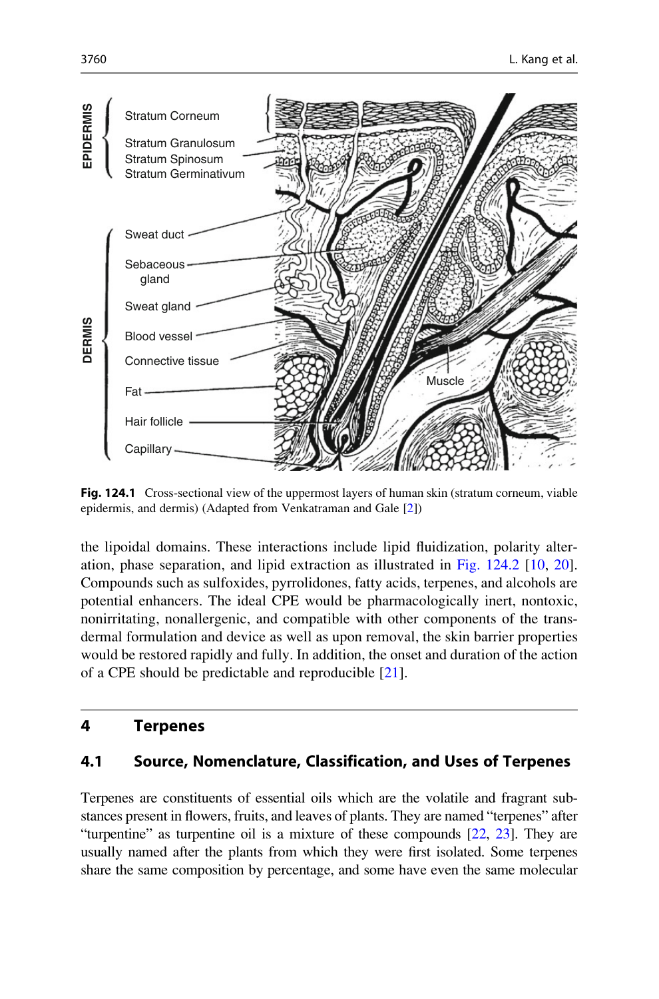<span id="page-3-0"></span>

Fig. 124.1 Cross-sectional view of the uppermost layers of human skin (stratum corneum, viable epidermis, and dermis) (Adapted from Venkatraman and Gale [[2\]](#page-15-0))

the lipoidal domains. These interactions include lipid fluidization, polarity alteration, phase separation, and lipid extraction as illustrated in [Fig. 124.2](#page-4-0) [[10,](#page-15-0) [20\]](#page-15-0). Compounds such as sulfoxides, pyrrolidones, fatty acids, terpenes, and alcohols are potential enhancers. The ideal CPE would be pharmacologically inert, nontoxic, nonirritating, nonallergenic, and compatible with other components of the transdermal formulation and device as well as upon removal, the skin barrier properties would be restored rapidly and fully. In addition, the onset and duration of the action of a CPE should be predictable and reproducible [\[21](#page-15-0)].

#### 4 Terpenes

#### 4.1 Source, Nomenclature, Classification, and Uses of Terpenes

Terpenes are constituents of essential oils which are the volatile and fragrant substances present in flowers, fruits, and leaves of plants. They are named "terpenes" after "turpentine" as turpentine oil is a mixture of these compounds [[22](#page-16-0), [23](#page-16-0)]. They are usually named after the plants from which they were first isolated. Some terpenes share the same composition by percentage, and some have even the same molecular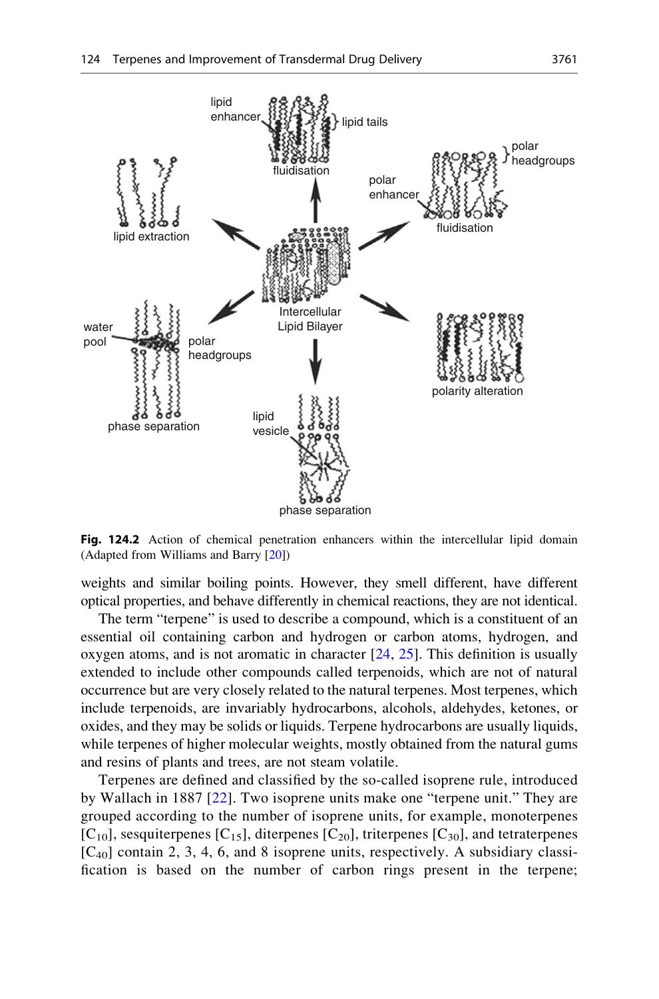<span id="page-4-0"></span>

Fig. 124.2 Action of chemical penetration enhancers within the intercellular lipid domain (Adapted from Williams and Barry [\[20\]](#page-15-0))

weights and similar boiling points. However, they smell different, have different optical properties, and behave differently in chemical reactions, they are not identical.

The term "terpene" is used to describe a compound, which is a constituent of an essential oil containing carbon and hydrogen or carbon atoms, hydrogen, and oxygen atoms, and is not aromatic in character  $[24, 25]$  $[24, 25]$  $[24, 25]$  $[24, 25]$  $[24, 25]$ . This definition is usually extended to include other compounds called terpenoids, which are not of natural occurrence but are very closely related to the natural terpenes. Most terpenes, which include terpenoids, are invariably hydrocarbons, alcohols, aldehydes, ketones, or oxides, and they may be solids or liquids. Terpene hydrocarbons are usually liquids, while terpenes of higher molecular weights, mostly obtained from the natural gums and resins of plants and trees, are not steam volatile.

Terpenes are defined and classified by the so-called isoprene rule, introduced by Wallach in 1887 [\[22\]](#page-16-0). Two isoprene units make one "terpene unit." They are grouped according to the number of isoprene units, for example, monoterpenes  $[C_{10}]$ , sesquiterpenes  $[C_{15}]$ , diterpenes  $[C_{20}]$ , triterpenes  $[C_{30}]$ , and tetraterpenes  $[C_{40}]$  contain 2, 3, 4, 6, and 8 isoprene units, respectively. A subsidiary classification is based on the number of carbon rings present in the terpene;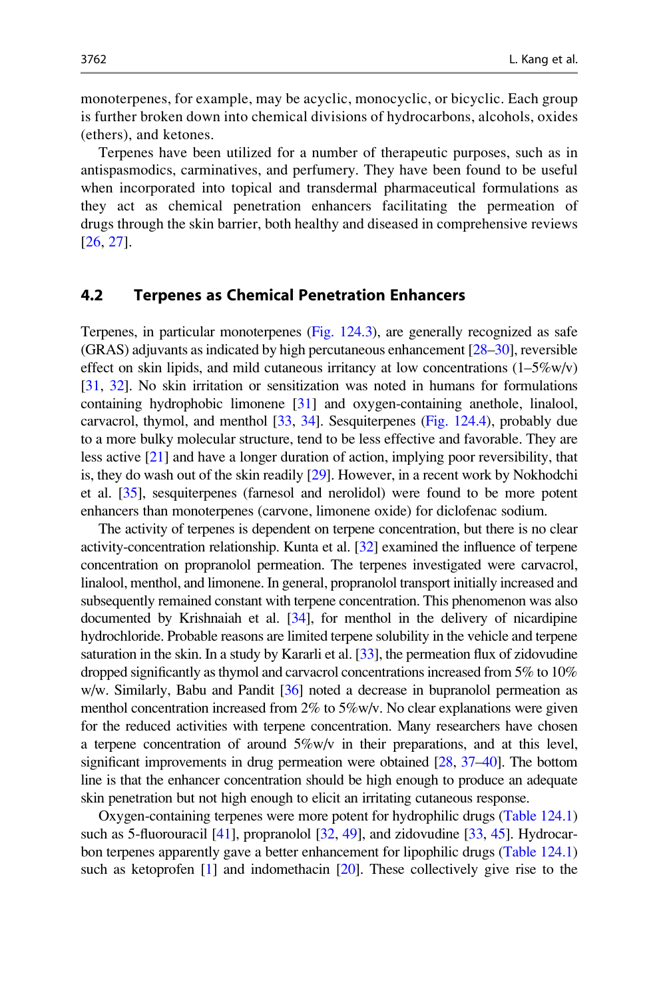monoterpenes, for example, may be acyclic, monocyclic, or bicyclic. Each group is further broken down into chemical divisions of hydrocarbons, alcohols, oxides (ethers), and ketones.

Terpenes have been utilized for a number of therapeutic purposes, such as in antispasmodics, carminatives, and perfumery. They have been found to be useful when incorporated into topical and transdermal pharmaceutical formulations as they act as chemical penetration enhancers facilitating the permeation of drugs through the skin barrier, both healthy and diseased in comprehensive reviews [\[26](#page-16-0), [27](#page-16-0)].

#### 4.2 Terpenes as Chemical Penetration Enhancers

Terpenes, in particular monoterpenes [\(Fig. 124.3](#page-6-0)), are generally recognized as safe (GRAS) adjuvants as indicated by high percutaneous enhancement [[28–30\]](#page-16-0), reversible effect on skin lipids, and mild cutaneous irritancy at low concentrations  $(1-5\%w/v)$ [\[31,](#page-16-0) [32\]](#page-16-0). No skin irritation or sensitization was noted in humans for formulations containing hydrophobic limonene [\[31](#page-16-0)] and oxygen-containing anethole, linalool, carvacrol, thymol, and menthol  $[33, 34]$  $[33, 34]$  $[33, 34]$  $[33, 34]$ . Sesquiterpenes (Fig.  $[124.4]$ ), probably due to a more bulky molecular structure, tend to be less effective and favorable. They are less active [[21\]](#page-15-0) and have a longer duration of action, implying poor reversibility, that is, they do wash out of the skin readily [\[29\]](#page-16-0). However, in a recent work by Nokhodchi et al. [\[35\]](#page-16-0), sesquiterpenes (farnesol and nerolidol) were found to be more potent enhancers than monoterpenes (carvone, limonene oxide) for diclofenac sodium.

The activity of terpenes is dependent on terpene concentration, but there is no clear activity-concentration relationship. Kunta et al. [[32](#page-16-0)] examined the influence of terpene concentration on propranolol permeation. The terpenes investigated were carvacrol, linalool, menthol, and limonene. In general, propranolol transport initially increased and subsequently remained constant with terpene concentration. This phenomenon was also documented by Krishnaiah et al. [\[34\]](#page-16-0), for menthol in the delivery of nicardipine hydrochloride. Probable reasons are limited terpene solubility in the vehicle and terpene saturation in the skin. In a study by Kararli et al. [\[33\]](#page-16-0), the permeation flux of zidovudine dropped significantly as thymol and carvacrol concentrations increased from 5% to 10% w/w. Similarly, Babu and Pandit [\[36](#page-16-0)] noted a decrease in bupranolol permeation as menthol concentration increased from 2% to 5%w/v. No clear explanations were given for the reduced activities with terpene concentration. Many researchers have chosen a terpene concentration of around  $5\%$  w/v in their preparations, and at this level, significant improvements in drug permeation were obtained [[28](#page-16-0), [37–40](#page-16-0)]. The bottom line is that the enhancer concentration should be high enough to produce an adequate skin penetration but not high enough to elicit an irritating cutaneous response.

Oxygen-containing terpenes were more potent for hydrophilic drugs ([Table 124.1](#page-8-0)) such as 5-fluorouracil [\[41](#page-16-0)], propranolol [[32](#page-16-0), [49](#page-17-0)], and zidovudine [[33](#page-16-0), [45](#page-16-0)]. Hydrocarbon terpenes apparently gave a better enhancement for lipophilic drugs ([Table 124.1](#page-8-0)) such as ketoprofen [\[1\]](#page-15-0) and indomethacin [\[20](#page-15-0)]. These collectively give rise to the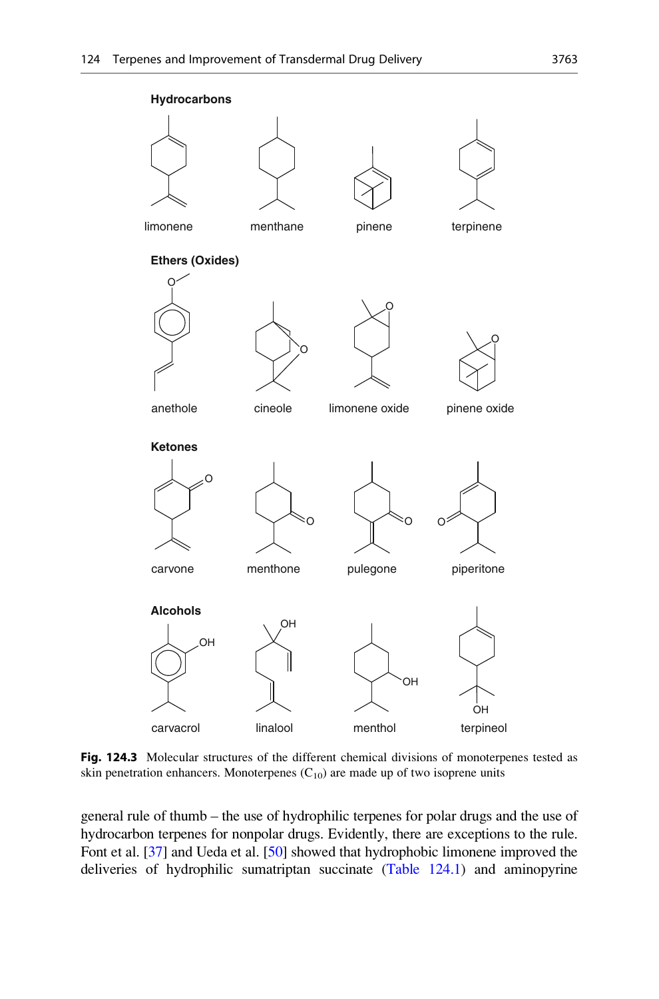<span id="page-6-0"></span>

Fig. 124.3 Molecular structures of the different chemical divisions of monoterpenes tested as skin penetration enhancers. Monoterpenes  $(C_{10})$  are made up of two isoprene units

general rule of thumb – the use of hydrophilic terpenes for polar drugs and the use of hydrocarbon terpenes for nonpolar drugs. Evidently, there are exceptions to the rule. Font et al. [\[37\]](#page-16-0) and Ueda et al. [[50](#page-17-0)] showed that hydrophobic limonene improved the deliveries of hydrophilic sumatriptan succinate ([Table 124.1\)](#page-8-0) and aminopyrine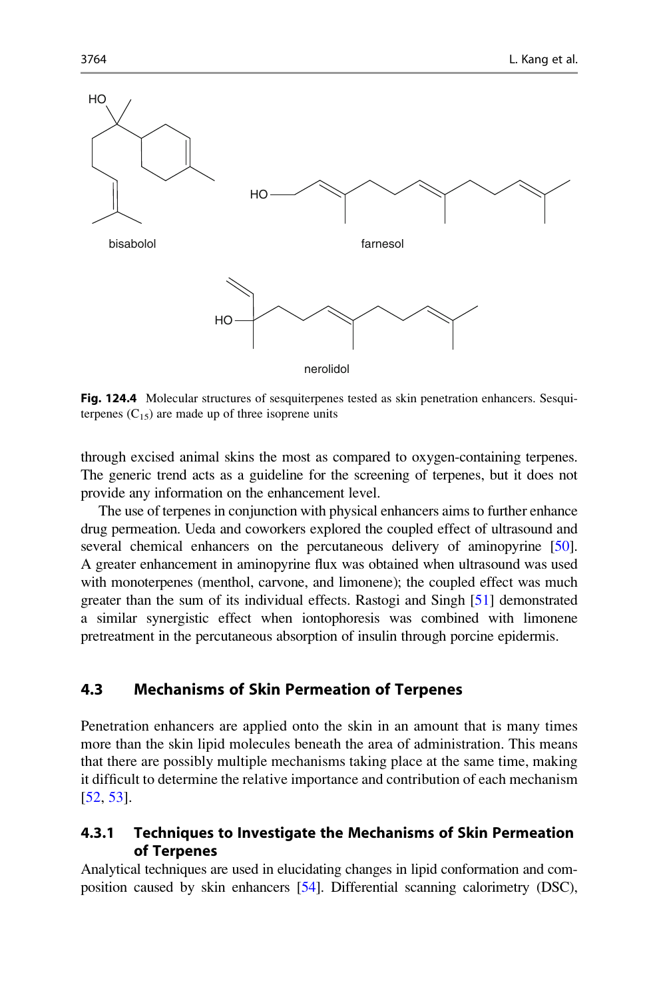<span id="page-7-0"></span>

Fig. 124.4 Molecular structures of sesquiterpenes tested as skin penetration enhancers. Sesquiterpenes  $(C_{15})$  are made up of three isoprene units

through excised animal skins the most as compared to oxygen-containing terpenes. The generic trend acts as a guideline for the screening of terpenes, but it does not provide any information on the enhancement level.

The use of terpenes in conjunction with physical enhancers aims to further enhance drug permeation. Ueda and coworkers explored the coupled effect of ultrasound and several chemical enhancers on the percutaneous delivery of aminopyrine [\[50\]](#page-17-0). A greater enhancement in aminopyrine flux was obtained when ultrasound was used with monoterpenes (menthol, carvone, and limonene); the coupled effect was much greater than the sum of its individual effects. Rastogi and Singh [[51\]](#page-17-0) demonstrated a similar synergistic effect when iontophoresis was combined with limonene pretreatment in the percutaneous absorption of insulin through porcine epidermis.

### 4.3 Mechanisms of Skin Permeation of Terpenes

Penetration enhancers are applied onto the skin in an amount that is many times more than the skin lipid molecules beneath the area of administration. This means that there are possibly multiple mechanisms taking place at the same time, making it difficult to determine the relative importance and contribution of each mechanism [\[52](#page-17-0), [53](#page-17-0)].

#### 4.3.1 Techniques to Investigate the Mechanisms of Skin Permeation of Terpenes

Analytical techniques are used in elucidating changes in lipid conformation and composition caused by skin enhancers [\[54\]](#page-17-0). Differential scanning calorimetry (DSC),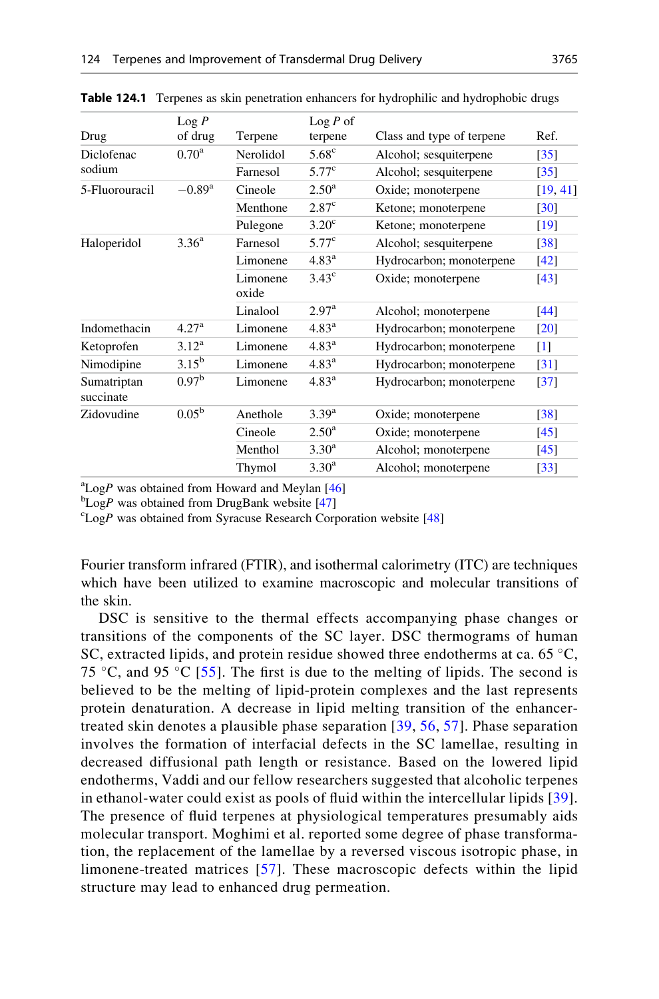|                          | $\text{Log } P$   |                   | $\text{Log } P \text{ of }$ |                           |                    |
|--------------------------|-------------------|-------------------|-----------------------------|---------------------------|--------------------|
| Drug                     | of drug           | Terpene           | terpene                     | Class and type of terpene | Ref.               |
| Diclofenac               | 0.70 <sup>a</sup> | Nerolidol         | $5.68^{\circ}$              | Alcohol; sesquiterpene    | $[35]$             |
| sodium                   |                   | Farnesol          | 5.77 <sup>c</sup>           | Alcohol; sesquiterpene    | $\left[35\right]$  |
| 5-Fluorouracil           | $-0.89^{\rm a}$   | Cineole           | $2.50^{\rm a}$              | Oxide; monoterpene        | [19, 41]           |
|                          |                   | Menthone          | 2.87 <sup>c</sup>           | Ketone; monoterpene       | $\lceil 30 \rceil$ |
|                          |                   | Pulegone          | 3.20 <sup>c</sup>           | Ketone; monoterpene       | [19]               |
| Haloperidol              | 3.36 <sup>a</sup> | Farnesol          | $5.77^{\circ}$              | Alcohol; sesquiterpene    | $[38]$             |
|                          |                   | Limonene          | $4.83^{\rm a}$              | Hydrocarbon; monoterpene  | [42]               |
|                          |                   | Limonene<br>oxide | $3.43^{\circ}$              | Oxide; monoterpene        | [43]               |
|                          |                   | Linalool          | $2.97^{\rm a}$              | Alcohol; monoterpene      | $[44]$             |
| Indomethacin             | 4.27 <sup>a</sup> | Limonene          | $4.83^{\rm a}$              | Hydrocarbon; monoterpene  | [20]               |
| Ketoprofen               | $3.12^a$          | Limonene          | $4.83^{\rm a}$              | Hydrocarbon; monoterpene  | $[1]$              |
| Nimodipine               | $3.15^{b}$        | Limonene          | $4.83^{\rm a}$              | Hydrocarbon; monoterpene  | $\left[31\right]$  |
| Sumatriptan<br>succinate | 0.97 <sup>b</sup> | Limonene          | $4.83^{\rm a}$              | Hydrocarbon; monoterpene  | $[37]$             |
| Zidovudine               | $0.05^{\rm b}$    | Anethole          | $3.39^{a}$                  | Oxide; monoterpene        | $\lceil 38 \rceil$ |
|                          |                   | Cineole           | $2.50^{\rm a}$              | Oxide; monoterpene        | [45]               |
|                          |                   | Menthol           | $3.30^{\rm a}$              | Alcohol; monoterpene      | [45]               |
|                          |                   | Thymol            | 3.30 <sup>a</sup>           | Alcohol; monoterpene      | $\left[33\right]$  |

<span id="page-8-0"></span>Table 124.1 Terpenes as skin penetration enhancers for hydrophilic and hydrophobic drugs

 ${}^{a}$ LogP was obtained from Howard and Meylan [\[46\]](#page-17-0)<br> ${}^{b}$ LogP was obtained from DrugBank website [47]

 ${}^{\text{b}}$ LogP was obtained from DrugBank website [\[47\]](#page-17-0)

 $C_{\text{Log}}P$  was obtained from Syracuse Research Corporation website [\[48](#page-17-0)]

Fourier transform infrared (FTIR), and isothermal calorimetry (ITC) are techniques which have been utilized to examine macroscopic and molecular transitions of the skin.

DSC is sensitive to the thermal effects accompanying phase changes or transitions of the components of the SC layer. DSC thermograms of human SC, extracted lipids, and protein residue showed three endotherms at ca. 65  $\degree$ C, 75 °C, and 95 °C [[55\]](#page-17-0). The first is due to the melting of lipids. The second is believed to be the melting of lipid-protein complexes and the last represents protein denaturation. A decrease in lipid melting transition of the enhancertreated skin denotes a plausible phase separation [\[39,](#page-16-0) [56,](#page-17-0) [57](#page-17-0)]. Phase separation involves the formation of interfacial defects in the SC lamellae, resulting in decreased diffusional path length or resistance. Based on the lowered lipid endotherms, Vaddi and our fellow researchers suggested that alcoholic terpenes in ethanol-water could exist as pools of fluid within the intercellular lipids [[39](#page-16-0)]. The presence of fluid terpenes at physiological temperatures presumably aids molecular transport. Moghimi et al. reported some degree of phase transformation, the replacement of the lamellae by a reversed viscous isotropic phase, in limonene-treated matrices [[57](#page-17-0)]. These macroscopic defects within the lipid structure may lead to enhanced drug permeation.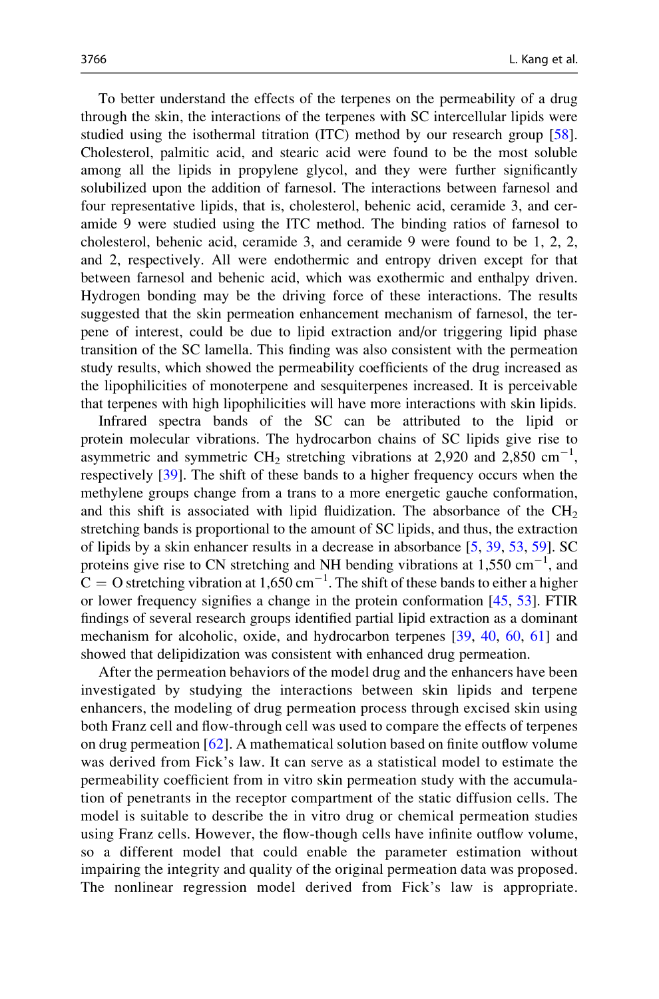To better understand the effects of the terpenes on the permeability of a drug through the skin, the interactions of the terpenes with SC intercellular lipids were studied using the isothermal titration (ITC) method by our research group [[58\]](#page-17-0). Cholesterol, palmitic acid, and stearic acid were found to be the most soluble among all the lipids in propylene glycol, and they were further significantly solubilized upon the addition of farnesol. The interactions between farnesol and four representative lipids, that is, cholesterol, behenic acid, ceramide 3, and ceramide 9 were studied using the ITC method. The binding ratios of farnesol to cholesterol, behenic acid, ceramide 3, and ceramide 9 were found to be 1, 2, 2, and 2, respectively. All were endothermic and entropy driven except for that between farnesol and behenic acid, which was exothermic and enthalpy driven. Hydrogen bonding may be the driving force of these interactions. The results suggested that the skin permeation enhancement mechanism of farnesol, the terpene of interest, could be due to lipid extraction and/or triggering lipid phase transition of the SC lamella. This finding was also consistent with the permeation study results, which showed the permeability coefficients of the drug increased as the lipophilicities of monoterpene and sesquiterpenes increased. It is perceivable that terpenes with high lipophilicities will have more interactions with skin lipids.

Infrared spectra bands of the SC can be attributed to the lipid or protein molecular vibrations. The hydrocarbon chains of SC lipids give rise to asymmetric and symmetric CH<sub>2</sub> stretching vibrations at 2,920 and 2,850 cm<sup>-1</sup>, respectively [[39\]](#page-16-0). The shift of these bands to a higher frequency occurs when the methylene groups change from a trans to a more energetic gauche conformation, and this shift is associated with lipid fluidization. The absorbance of the  $CH<sub>2</sub>$ stretching bands is proportional to the amount of SC lipids, and thus, the extraction of lipids by a skin enhancer results in a decrease in absorbance [[5](#page-15-0), [39](#page-16-0), [53,](#page-17-0) [59\]](#page-17-0). SC proteins give rise to CN stretching and NH bending vibrations at  $1,550 \text{ cm}^{-1}$ , and  $C = O$  stretching vibration at 1,650 cm<sup>-1</sup>. The shift of these bands to either a higher or lower frequency signifies a change in the protein conformation [\[45](#page-16-0), [53\]](#page-17-0). FTIR findings of several research groups identified partial lipid extraction as a dominant mechanism for alcoholic, oxide, and hydrocarbon terpenes [\[39,](#page-16-0) [40,](#page-16-0) [60](#page-17-0), [61\]](#page-17-0) and showed that delipidization was consistent with enhanced drug permeation.

After the permeation behaviors of the model drug and the enhancers have been investigated by studying the interactions between skin lipids and terpene enhancers, the modeling of drug permeation process through excised skin using both Franz cell and flow-through cell was used to compare the effects of terpenes on drug permeation [[62](#page-17-0)]. A mathematical solution based on finite outflow volume was derived from Fick's law. It can serve as a statistical model to estimate the permeability coefficient from in vitro skin permeation study with the accumulation of penetrants in the receptor compartment of the static diffusion cells. The model is suitable to describe the in vitro drug or chemical permeation studies using Franz cells. However, the flow-though cells have infinite outflow volume, so a different model that could enable the parameter estimation without impairing the integrity and quality of the original permeation data was proposed. The nonlinear regression model derived from Fick's law is appropriate.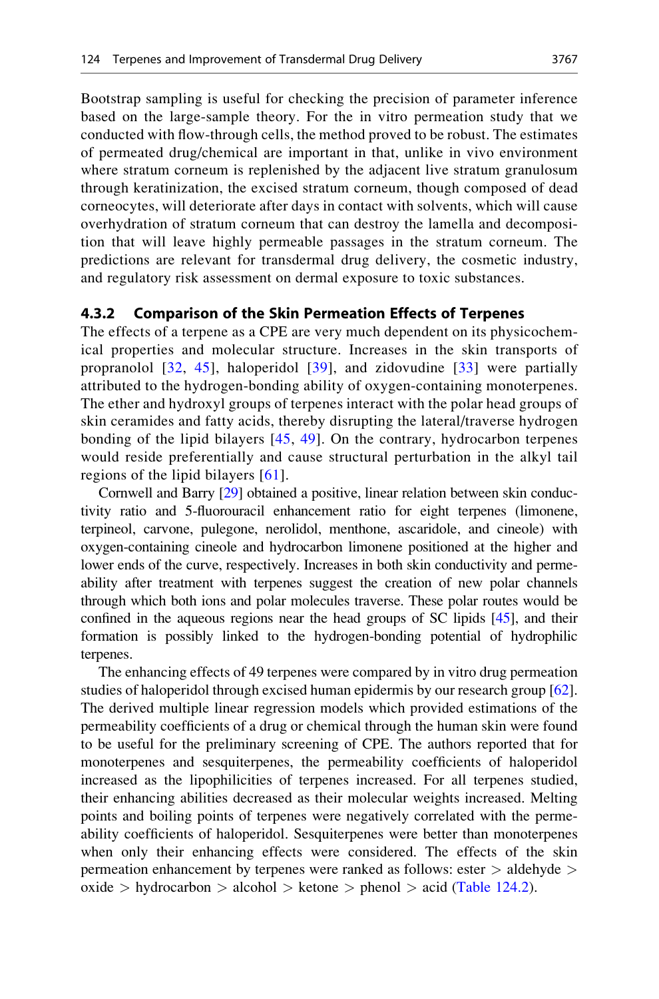Bootstrap sampling is useful for checking the precision of parameter inference based on the large-sample theory. For the in vitro permeation study that we conducted with flow-through cells, the method proved to be robust. The estimates of permeated drug/chemical are important in that, unlike in vivo environment where stratum corneum is replenished by the adjacent live stratum granulosum through keratinization, the excised stratum corneum, though composed of dead corneocytes, will deteriorate after days in contact with solvents, which will cause overhydration of stratum corneum that can destroy the lamella and decomposition that will leave highly permeable passages in the stratum corneum. The predictions are relevant for transdermal drug delivery, the cosmetic industry, and regulatory risk assessment on dermal exposure to toxic substances.

#### 4.3.2 Comparison of the Skin Permeation Effects of Terpenes

The effects of a terpene as a CPE are very much dependent on its physicochemical properties and molecular structure. Increases in the skin transports of propranolol  $[32, 45]$  $[32, 45]$  $[32, 45]$  $[32, 45]$  $[32, 45]$ , haloperidol  $[39]$ , and zidovudine  $[33]$  $[33]$  $[33]$  were partially attributed to the hydrogen-bonding ability of oxygen-containing monoterpenes. The ether and hydroxyl groups of terpenes interact with the polar head groups of skin ceramides and fatty acids, thereby disrupting the lateral/traverse hydrogen bonding of the lipid bilayers [[45](#page-16-0), [49\]](#page-17-0). On the contrary, hydrocarbon terpenes would reside preferentially and cause structural perturbation in the alkyl tail regions of the lipid bilayers [\[61\]](#page-17-0).

Cornwell and Barry [\[29\]](#page-16-0) obtained a positive, linear relation between skin conductivity ratio and 5-fluorouracil enhancement ratio for eight terpenes (limonene, terpineol, carvone, pulegone, nerolidol, menthone, ascaridole, and cineole) with oxygen-containing cineole and hydrocarbon limonene positioned at the higher and lower ends of the curve, respectively. Increases in both skin conductivity and permeability after treatment with terpenes suggest the creation of new polar channels through which both ions and polar molecules traverse. These polar routes would be confined in the aqueous regions near the head groups of SC lipids [[45](#page-16-0)], and their formation is possibly linked to the hydrogen-bonding potential of hydrophilic terpenes.

The enhancing effects of 49 terpenes were compared by in vitro drug permeation studies of haloperidol through excised human epidermis by our research group [[62\]](#page-17-0). The derived multiple linear regression models which provided estimations of the permeability coefficients of a drug or chemical through the human skin were found to be useful for the preliminary screening of CPE. The authors reported that for monoterpenes and sesquiterpenes, the permeability coefficients of haloperidol increased as the lipophilicities of terpenes increased. For all terpenes studied, their enhancing abilities decreased as their molecular weights increased. Melting points and boiling points of terpenes were negatively correlated with the permeability coefficients of haloperidol. Sesquiterpenes were better than monoterpenes when only their enhancing effects were considered. The effects of the skin permeation enhancement by terpenes were ranked as follows: ester > aldehyde > oxide > hydrocarbon > alcohol > ketone > phenol > acid ([Table 124.2\)](#page-11-0).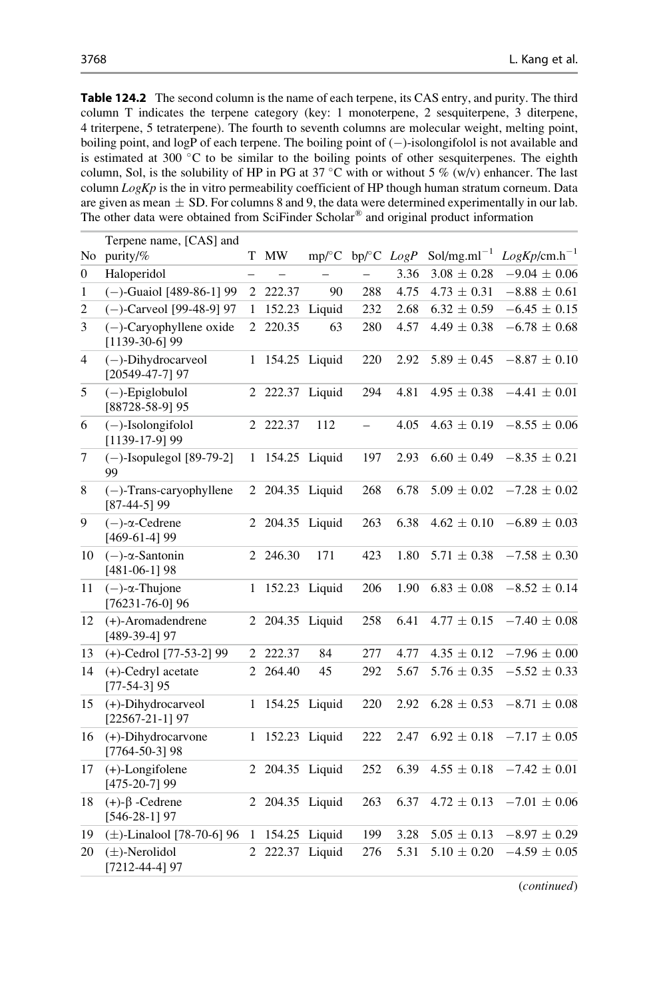<span id="page-11-0"></span>Table 124.2 The second column is the name of each terpene, its CAS entry, and purity. The third column T indicates the terpene category (key: 1 monoterpene, 2 sesquiterpene, 3 diterpene, 4 triterpene, 5 tetraterpene). The fourth to seventh columns are molecular weight, melting point, boiling point, and  $logP$  of each terpene. The boiling point of  $(-)$ -isolongifolol is not available and is estimated at 300  $\degree$ C to be similar to the boiling points of other sesquiterpenes. The eighth column, Sol, is the solubility of HP in PG at 37 °C with or without 5 % (w/v) enhancer. The last column  $LogKp$  is the in vitro permeability coefficient of HP though human stratum corneum. Data are given as mean  $\pm$  SD. For columns 8 and 9, the data were determined experimentally in our lab. The other data were obtained from SciFinder Scholar® and original product information

| No             | Terpene name, [CAS] and<br>purity/%                | т                 | <b>MW</b>       | mp/C          | bp/ ${}^{\circ}$ C LogP  |      |                 | Sol/mg.ml <sup>-1</sup> $LogKp/cm.h^{-1}$ |
|----------------|----------------------------------------------------|-------------------|-----------------|---------------|--------------------------|------|-----------------|-------------------------------------------|
| 0              | Haloperidol                                        | $\qquad \qquad -$ |                 |               | $\overline{\phantom{0}}$ | 3.36 | $3.08 \pm 0.28$ | $-9.04 \pm 0.06$                          |
| $\mathbf{1}$   | (-)-Guaiol [489-86-1] 99                           | 2                 | 222.37          | 90            | 288                      | 4.75 | $4.73 \pm 0.31$ | $-8.88 \pm 0.61$                          |
| $\overline{c}$ | $(-)$ -Carveol [99-48-9] 97                        | 1                 |                 | 152.23 Liquid | 232                      | 2.68 | $6.32 \pm 0.59$ | $-6.45 \pm 0.15$                          |
| 3              | $(-)$ -Caryophyllene oxide<br>$[1139-30-6]$ 99     | 2                 | 220.35          | 63            | 280                      | 4.57 | $4.49 \pm 0.38$ | $-6.78 \pm 0.68$                          |
| 4              | $(-)$ -Dihydrocarveol<br>$[20549-47-7]$ 97         | 1                 |                 | 154.25 Liquid | 220                      | 2.92 | $5.89 \pm 0.45$ | $-8.87 \pm 0.10$                          |
| 5              | $(-)$ -Epiglobulol<br>$[88728 - 58 - 9]$ 95        |                   | 2 222.37 Liquid |               | 294                      | 4.81 | $4.95 \pm 0.38$ | $-4.41 \pm 0.01$                          |
| 6              | $(-)$ -Isolongifolol<br>$[1139-17-9]$ 99           |                   | 2 222.37        | 112           | $\overline{\phantom{0}}$ | 4.05 | $4.63 \pm 0.19$ | $-8.55 \pm 0.06$                          |
| $\overline{7}$ | $(-)$ -Isopulegol [89-79-2]<br>99                  | $\mathbf{1}$      |                 | 154.25 Liquid | 197                      | 2.93 | $6.60 \pm 0.49$ | $-8.35 \pm 0.21$                          |
| 8              | $(-)$ -Trans-caryophyllene<br>$[87-44-5]$ 99       |                   | 2 204.35 Liquid |               | 268                      | 6.78 | $5.09 \pm 0.02$ | $-7.28 \pm 0.02$                          |
| 9              | $(-)$ - $\alpha$ -Cedrene<br>$[469-61-4]$ 99       | 2                 |                 | 204.35 Liquid | 263                      | 6.38 | $4.62 \pm 0.10$ | $-6.89 \pm 0.03$                          |
| 10             | $(-)$ - $\alpha$ -Santonin<br>$[481-06-1]$ 98      |                   | 2 246.30        | 171           | 423                      | 1.80 | $5.71 \pm 0.38$ | $-7.58 \pm 0.30$                          |
| 11             | $(-)$ - $\alpha$ -Thujone<br>$[76231 - 76 - 0]$ 96 | 1                 |                 | 152.23 Liquid | 206                      | 1.90 | $6.83 \pm 0.08$ | $-8.52 \pm 0.14$                          |
| 12             | $(+)$ -Aromadendrene<br>$[489-39-4]$ 97            | 2                 |                 | 204.35 Liquid | 258                      | 6.41 | $4.77 \pm 0.15$ | $-7.40 \pm 0.08$                          |
| 13             | (+)-Cedrol [77-53-2] 99                            | 2                 | 222.37          | 84            | 277                      | 4.77 | $4.35 \pm 0.12$ | $-7.96 \pm 0.00$                          |
| 14             | (+)-Cedryl acetate<br>$[77-54-3]$ 95               | 2                 | 264.40          | 45            | 292                      | 5.67 | $5.76 \pm 0.35$ | $-5.52 \pm 0.33$                          |
| 15             | (+)-Dihydrocarveol<br>$[22567-21-1]$ 97            | 1                 |                 | 154.25 Liquid | 220                      | 2.92 | $6.28 \pm 0.53$ | $-8.71 \pm 0.08$                          |
| 16             | (+)-Dihydrocarvone<br>$[7764-50-3]$ 98             | 1                 |                 | 152.23 Liquid | 222                      | 2.47 | $6.92 \pm 0.18$ | $-7.17 \pm 0.05$                          |
| 17             | $(+)$ -Longifolene<br>$[475-20-7]$ 99              |                   | 2 204.35 Liquid |               | 252                      | 6.39 | $4.55 \pm 0.18$ | $-7.42 \pm 0.01$                          |
| 18             | $(+)$ - $\beta$ -Cedrene<br>$[546-28-1]$ 97        | 2                 |                 | 204.35 Liquid | 263                      | 6.37 | $4.72 \pm 0.13$ | $-7.01 \pm 0.06$                          |
| 19             | $(\pm)$ -Linalool [78-70-6] 96                     | 1                 |                 | 154.25 Liquid | 199                      | 3.28 | $5.05 \pm 0.13$ | $-8.97 \pm 0.29$                          |
| 20             | $(\pm)$ -Nerolidol<br>$[7212 - 44 - 4]$ 97         | 2                 | 222.37          | Liquid        | 276                      | 5.31 | $5.10 \pm 0.20$ | $-4.59 \pm 0.05$                          |
|                |                                                    |                   |                 |               |                          |      |                 |                                           |

(continued)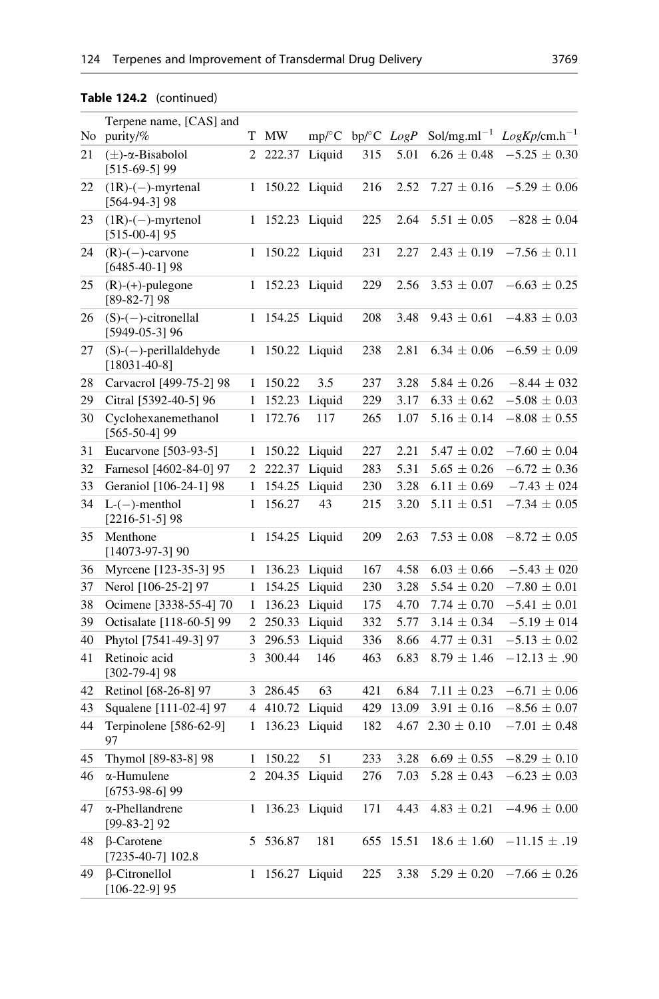| No | Terpene name, [CAS] and<br>purity/%              |                         | T MW            | mp/C          | $bp\degree C$ $LogP$ |       |                 | Sol/mg.ml <sup>-1</sup> $LogKp/cm.h^{-1}$ |
|----|--------------------------------------------------|-------------------------|-----------------|---------------|----------------------|-------|-----------------|-------------------------------------------|
| 21 | $(\pm)$ - $\alpha$ -Bisabolol<br>$[515-69-5]$ 99 | 2                       | 222.37          | Liquid        | 315                  | 5.01  | $6.26 \pm 0.48$ | $-5.25 \pm 0.30$                          |
| 22 | $(1R)-(-)$ -myrtenal<br>$[564-94-3]$ 98          | 1                       |                 | 150.22 Liquid | 216                  | 2.52  | $7.27 \pm 0.16$ | $-5.29 \pm 0.06$                          |
| 23 | $(1R)-(-)$ -myrtenol<br>$[515-00-4]$ 95          | 1                       | 152.23 Liquid   |               | 225                  | 2.64  | $5.51 \pm 0.05$ | $-828 \pm 0.04$                           |
| 24 | $(R)-(-)$ -carvone<br>$[6485-40-1]$ 98           | 1                       | 150.22 Liquid   |               | 231                  | 2.27  | $2.43 \pm 0.19$ | $-7.56 \pm 0.11$                          |
| 25 | $(R)-(+)$ -pulegone<br>$[89-82-7]$ 98            | 1                       |                 | 152.23 Liquid | 229                  | 2.56  | $3.53 \pm 0.07$ | $-6.63 \pm 0.25$                          |
| 26 | $(S)-(-)$ -citronellal<br>$[5949-05-3]$ 96       |                         | 1 154.25 Liquid |               | 208                  | 3.48  | $9.43 \pm 0.61$ | $-4.83 \pm 0.03$                          |
| 27 | $(S)-(-)$ -perillaldehyde<br>$[18031 - 40 - 8]$  | 1                       | $150.22$ Liquid |               | 238                  | 2.81  | $6.34 \pm 0.06$ | $-6.59 \pm 0.09$                          |
| 28 | Carvacrol [499-75-2] 98                          | 1                       | 150.22          | 3.5           | 237                  | 3.28  | $5.84 \pm 0.26$ | $-8.44 \pm 032$                           |
| 29 | Citral [5392-40-5] 96                            | 1                       | 152.23          | Liquid        | 229                  | 3.17  | $6.33 \pm 0.62$ | $-5.08 \pm 0.03$                          |
| 30 | Cyclohexanemethanol<br>$[565-50-4]$ 99           | 1                       | 172.76          | 117           | 265                  | 1.07  | $5.16 \pm 0.14$ | $-8.08 \pm 0.55$                          |
| 31 | Eucarvone [503-93-5]                             | 1                       |                 | 150.22 Liquid | 227                  | 2.21  | $5.47 \pm 0.02$ | $-7.60 \pm 0.04$                          |
| 32 | Farnesol [4602-84-0] 97                          | 2                       | 222.37          | Liquid        | 283                  | 5.31  | $5.65 \pm 0.26$ | $-6.72 \pm 0.36$                          |
| 33 | Geraniol [106-24-1] 98                           | 1                       |                 | 154.25 Liquid | 230                  | 3.28  | $6.11 \pm 0.69$ | $-7.43 \pm 024$                           |
| 34 | $L-(-)$ -menthol<br>$[2216 - 51 - 5]$ 98         | 1                       | 156.27          | 43            | 215                  | 3.20  | $5.11 \pm 0.51$ | $-7.34 \pm 0.05$                          |
| 35 | Menthone<br>$[14073-97-3]$ 90                    | 1                       |                 | 154.25 Liquid | 209                  | 2.63  | $7.53 \pm 0.08$ | $-8.72 \pm 0.05$                          |
| 36 | Myrcene [123-35-3] 95                            | 1                       |                 | 136.23 Liquid | 167                  | 4.58  | $6.03 \pm 0.66$ | $-5.43 \pm 020$                           |
| 37 | Nerol [106-25-2] 97                              | 1                       | 154.25          | Liquid        | 230                  | 3.28  | $5.54 \pm 0.20$ | $-7.80 \pm 0.01$                          |
| 38 | Ocimene [3338-55-4] 70                           | 1                       | 136.23          | Liquid        | 175                  | 4.70  | $7.74 \pm 0.70$ | $-5.41 \pm 0.01$                          |
| 39 | Octisalate [118-60-5] 99                         | 2                       | 250.33          | Liquid        | 332                  | 5.77  | $3.14 \pm 0.34$ | $-5.19 \pm 014$                           |
| 40 | Phytol [7541-49-3] 97                            | 3                       |                 | 296.53 Liquid | 336                  | 8.66  | $4.77 \pm 0.31$ | $-5.13 \pm 0.02$                          |
| 41 | Retinoic acid<br>$[302 - 79 - 4]$ 98             | 3                       | 300.44          | 146           | 463                  | 6.83  | $8.79 \pm 1.46$ | $-12.13 \pm .90$                          |
| 42 | Retinol [68-26-8] 97                             | 3                       | 286.45          | 63            | 421                  | 6.84  | $7.11 \pm 0.23$ | $-6.71 \pm 0.06$                          |
| 43 | Squalene [111-02-4] 97                           | 4                       | 410.72          | Liquid        | 429                  | 13.09 | $3.91 \pm 0.16$ | $-8.56 \pm 0.07$                          |
| 44 | Terpinolene [586-62-9]<br>97                     | 1                       |                 | 136.23 Liquid | 182                  | 4.67  | $2.30 \pm 0.10$ | $-7.01 \pm 0.48$                          |
| 45 | Thymol [89-83-8] 98                              | 1                       | 150.22          | 51            | 233                  | 3.28  | $6.69 \pm 0.55$ | $-8.29 \pm 0.10$                          |
| 46 | $\alpha$ -Humulene<br>$[6753-98-6]$ 99           | $\overline{\mathbf{c}}$ |                 | 204.35 Liquid | 276                  | 7.03  | $5.28 \pm 0.43$ | $-6.23 \pm 0.03$                          |
| 47 | α-Phellandrene<br>$[99-83-2]$ 92                 | 1                       | 136.23 Liquid   |               | 171                  | 4.43  | $4.83 \pm 0.21$ | $-4.96 \pm 0.00$                          |
| 48 | $\beta$ -Carotene<br>$[7235-40-7]$ 102.8         | 5                       | 536.87          | 181           | 655                  | 15.51 | $18.6 \pm 1.60$ | $-11.15 \pm .19$                          |
| 49 | β-Citronellol<br>$[106 - 22 - 9]$ 95             | 1                       | 156.27 Liquid   |               | 225                  | 3.38  | $5.29 \pm 0.20$ | $-7.66 \pm 0.26$                          |

#### Table 124.2 (continued)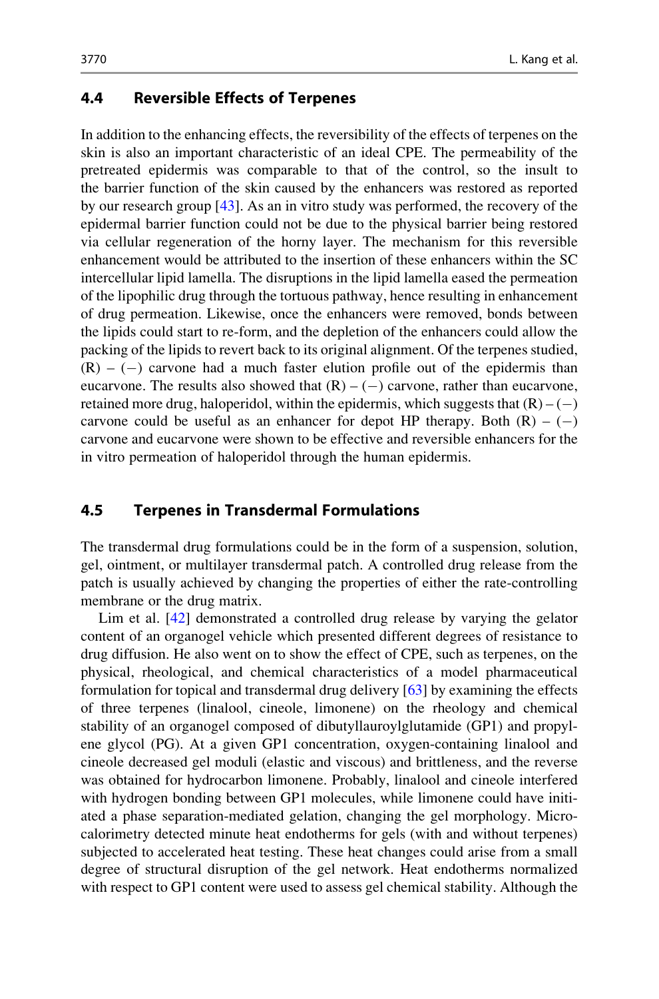#### 4.4 Reversible Effects of Terpenes

In addition to the enhancing effects, the reversibility of the effects of terpenes on the skin is also an important characteristic of an ideal CPE. The permeability of the pretreated epidermis was comparable to that of the control, so the insult to the barrier function of the skin caused by the enhancers was restored as reported by our research group [[43\]](#page-16-0). As an in vitro study was performed, the recovery of the epidermal barrier function could not be due to the physical barrier being restored via cellular regeneration of the horny layer. The mechanism for this reversible enhancement would be attributed to the insertion of these enhancers within the SC intercellular lipid lamella. The disruptions in the lipid lamella eased the permeation of the lipophilic drug through the tortuous pathway, hence resulting in enhancement of drug permeation. Likewise, once the enhancers were removed, bonds between the lipids could start to re-form, and the depletion of the enhancers could allow the packing of the lipids to revert back to its original alignment. Of the terpenes studied,  $(R) - (-)$  carvone had a much faster elution profile out of the epidermis than eucarvone. The results also showed that  $(R) - (-)$  carvone, rather than eucarvone, retained more drug, haloperidol, within the epidermis, which suggests that  $(R) - (-)$ carvone could be useful as an enhancer for depot HP therapy. Both  $(R) - (-)$ carvone and eucarvone were shown to be effective and reversible enhancers for the in vitro permeation of haloperidol through the human epidermis.

#### 4.5 Terpenes in Transdermal Formulations

The transdermal drug formulations could be in the form of a suspension, solution, gel, ointment, or multilayer transdermal patch. A controlled drug release from the patch is usually achieved by changing the properties of either the rate-controlling membrane or the drug matrix.

Lim et al. [[42\]](#page-16-0) demonstrated a controlled drug release by varying the gelator content of an organogel vehicle which presented different degrees of resistance to drug diffusion. He also went on to show the effect of CPE, such as terpenes, on the physical, rheological, and chemical characteristics of a model pharmaceutical formulation for topical and transdermal drug delivery [[63\]](#page-17-0) by examining the effects of three terpenes (linalool, cineole, limonene) on the rheology and chemical stability of an organogel composed of dibutyllauroylglutamide (GP1) and propylene glycol (PG). At a given GP1 concentration, oxygen-containing linalool and cineole decreased gel moduli (elastic and viscous) and brittleness, and the reverse was obtained for hydrocarbon limonene. Probably, linalool and cineole interfered with hydrogen bonding between GP1 molecules, while limonene could have initiated a phase separation-mediated gelation, changing the gel morphology. Microcalorimetry detected minute heat endotherms for gels (with and without terpenes) subjected to accelerated heat testing. These heat changes could arise from a small degree of structural disruption of the gel network. Heat endotherms normalized with respect to GP1 content were used to assess gel chemical stability. Although the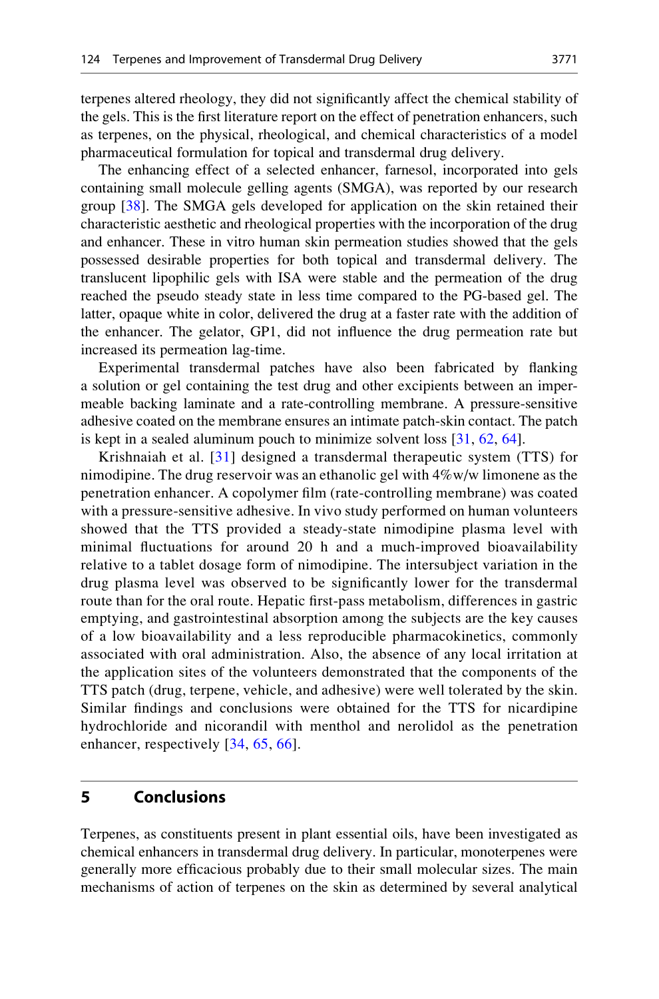terpenes altered rheology, they did not significantly affect the chemical stability of the gels. This is the first literature report on the effect of penetration enhancers, such as terpenes, on the physical, rheological, and chemical characteristics of a model pharmaceutical formulation for topical and transdermal drug delivery.

The enhancing effect of a selected enhancer, farnesol, incorporated into gels containing small molecule gelling agents (SMGA), was reported by our research group [[38\]](#page-16-0). The SMGA gels developed for application on the skin retained their characteristic aesthetic and rheological properties with the incorporation of the drug and enhancer. These in vitro human skin permeation studies showed that the gels possessed desirable properties for both topical and transdermal delivery. The translucent lipophilic gels with ISA were stable and the permeation of the drug reached the pseudo steady state in less time compared to the PG-based gel. The latter, opaque white in color, delivered the drug at a faster rate with the addition of the enhancer. The gelator, GP1, did not influence the drug permeation rate but increased its permeation lag-time.

Experimental transdermal patches have also been fabricated by flanking a solution or gel containing the test drug and other excipients between an impermeable backing laminate and a rate-controlling membrane. A pressure-sensitive adhesive coated on the membrane ensures an intimate patch-skin contact. The patch is kept in a sealed aluminum pouch to minimize solvent loss [\[31](#page-16-0), [62,](#page-17-0) [64\]](#page-17-0).

Krishnaiah et al. [[31\]](#page-16-0) designed a transdermal therapeutic system (TTS) for nimodipine. The drug reservoir was an ethanolic gel with 4%w/w limonene as the penetration enhancer. A copolymer film (rate-controlling membrane) was coated with a pressure-sensitive adhesive. In vivo study performed on human volunteers showed that the TTS provided a steady-state nimodipine plasma level with minimal fluctuations for around 20 h and a much-improved bioavailability relative to a tablet dosage form of nimodipine. The intersubject variation in the drug plasma level was observed to be significantly lower for the transdermal route than for the oral route. Hepatic first-pass metabolism, differences in gastric emptying, and gastrointestinal absorption among the subjects are the key causes of a low bioavailability and a less reproducible pharmacokinetics, commonly associated with oral administration. Also, the absence of any local irritation at the application sites of the volunteers demonstrated that the components of the TTS patch (drug, terpene, vehicle, and adhesive) were well tolerated by the skin. Similar findings and conclusions were obtained for the TTS for nicardipine hydrochloride and nicorandil with menthol and nerolidol as the penetration enhancer, respectively [\[34](#page-16-0), [65](#page-17-0), [66\]](#page-17-0).

#### 5 Conclusions

Terpenes, as constituents present in plant essential oils, have been investigated as chemical enhancers in transdermal drug delivery. In particular, monoterpenes were generally more efficacious probably due to their small molecular sizes. The main mechanisms of action of terpenes on the skin as determined by several analytical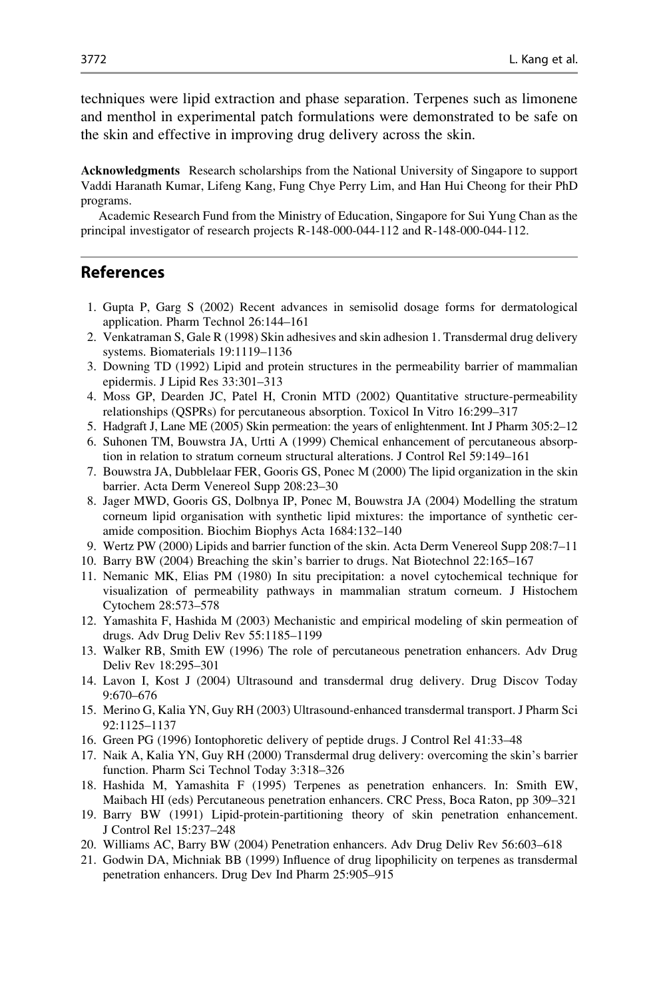<span id="page-15-0"></span>techniques were lipid extraction and phase separation. Terpenes such as limonene and menthol in experimental patch formulations were demonstrated to be safe on the skin and effective in improving drug delivery across the skin.

Acknowledgments Research scholarships from the National University of Singapore to support Vaddi Haranath Kumar, Lifeng Kang, Fung Chye Perry Lim, and Han Hui Cheong for their PhD programs.

Academic Research Fund from the Ministry of Education, Singapore for Sui Yung Chan as the principal investigator of research projects R-148-000-044-112 and R-148-000-044-112.

#### References

- 1. Gupta P, Garg S (2002) Recent advances in semisolid dosage forms for dermatological application. Pharm Technol 26:144–161
- 2. Venkatraman S, Gale R (1998) Skin adhesives and skin adhesion 1. Transdermal drug delivery systems. Biomaterials 19:1119–1136
- 3. Downing TD (1992) Lipid and protein structures in the permeability barrier of mammalian epidermis. J Lipid Res 33:301–313
- 4. Moss GP, Dearden JC, Patel H, Cronin MTD (2002) Quantitative structure-permeability relationships (QSPRs) for percutaneous absorption. Toxicol In Vitro 16:299–317
- 5. Hadgraft J, Lane ME (2005) Skin permeation: the years of enlightenment. Int J Pharm 305:2–12
- 6. Suhonen TM, Bouwstra JA, Urtti A (1999) Chemical enhancement of percutaneous absorption in relation to stratum corneum structural alterations. J Control Rel 59:149–161
- 7. Bouwstra JA, Dubblelaar FER, Gooris GS, Ponec M (2000) The lipid organization in the skin barrier. Acta Derm Venereol Supp 208:23–30
- 8. Jager MWD, Gooris GS, Dolbnya IP, Ponec M, Bouwstra JA (2004) Modelling the stratum corneum lipid organisation with synthetic lipid mixtures: the importance of synthetic ceramide composition. Biochim Biophys Acta 1684:132–140
- 9. Wertz PW (2000) Lipids and barrier function of the skin. Acta Derm Venereol Supp 208:7–11
- 10. Barry BW (2004) Breaching the skin's barrier to drugs. Nat Biotechnol 22:165–167
- 11. Nemanic MK, Elias PM (1980) In situ precipitation: a novel cytochemical technique for visualization of permeability pathways in mammalian stratum corneum. J Histochem Cytochem 28:573–578
- 12. Yamashita F, Hashida M (2003) Mechanistic and empirical modeling of skin permeation of drugs. Adv Drug Deliv Rev 55:1185–1199
- 13. Walker RB, Smith EW (1996) The role of percutaneous penetration enhancers. Adv Drug Deliv Rev 18:295–301
- 14. Lavon I, Kost J (2004) Ultrasound and transdermal drug delivery. Drug Discov Today 9:670–676
- 15. Merino G, Kalia YN, Guy RH (2003) Ultrasound-enhanced transdermal transport. J Pharm Sci 92:1125–1137
- 16. Green PG (1996) Iontophoretic delivery of peptide drugs. J Control Rel 41:33–48
- 17. Naik A, Kalia YN, Guy RH (2000) Transdermal drug delivery: overcoming the skin's barrier function. Pharm Sci Technol Today 3:318–326
- 18. Hashida M, Yamashita F (1995) Terpenes as penetration enhancers. In: Smith EW, Maibach HI (eds) Percutaneous penetration enhancers. CRC Press, Boca Raton, pp 309–321
- 19. Barry BW (1991) Lipid-protein-partitioning theory of skin penetration enhancement. J Control Rel 15:237–248
- 20. Williams AC, Barry BW (2004) Penetration enhancers. Adv Drug Deliv Rev 56:603–618
- 21. Godwin DA, Michniak BB (1999) Influence of drug lipophilicity on terpenes as transdermal penetration enhancers. Drug Dev Ind Pharm 25:905–915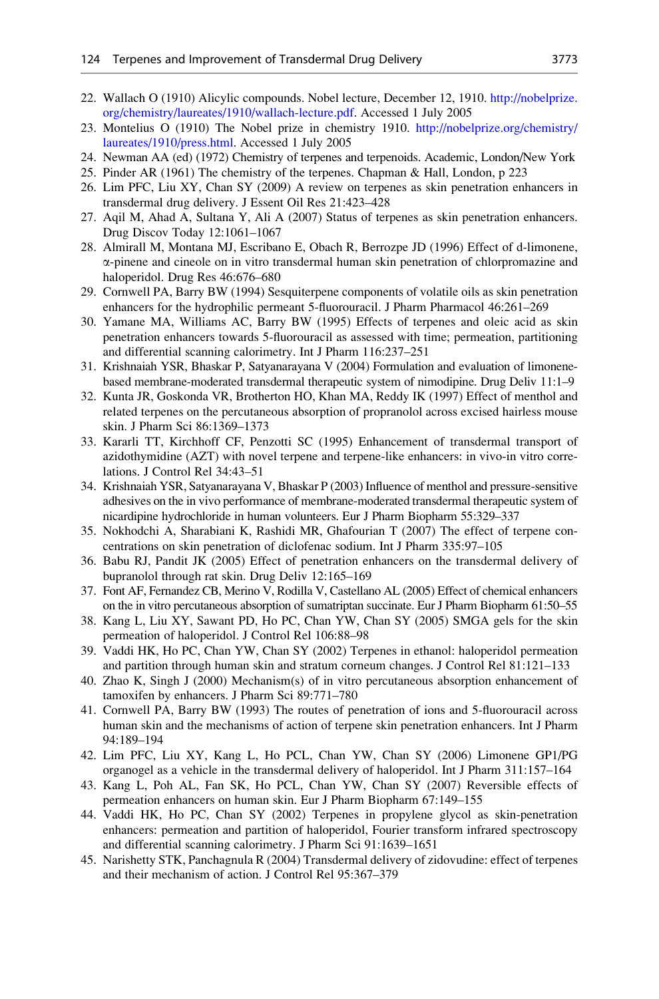- <span id="page-16-0"></span>22. Wallach O (1910) Alicylic compounds. Nobel lecture, December 12, 1910. [http://nobelprize.](http://nobelprize.org/chemistry/laureates/1910/wallach-lecture.pdf) [org/chemistry/laureates/1910/wallach-lecture.pdf](http://nobelprize.org/chemistry/laureates/1910/wallach-lecture.pdf). Accessed 1 July 2005
- 23. Montelius O (1910) The Nobel prize in chemistry 1910. [http://nobelprize.org/chemistry/](http://nobelprize.org/chemistry/laureates/1910/press.html) [laureates/1910/press.html.](http://nobelprize.org/chemistry/laureates/1910/press.html) Accessed 1 July 2005
- 24. Newman AA (ed) (1972) Chemistry of terpenes and terpenoids. Academic, London/New York
- 25. Pinder AR (1961) The chemistry of the terpenes. Chapman & Hall, London, p 223
- 26. Lim PFC, Liu XY, Chan SY (2009) A review on terpenes as skin penetration enhancers in transdermal drug delivery. J Essent Oil Res 21:423–428
- 27. Aqil M, Ahad A, Sultana Y, Ali A (2007) Status of terpenes as skin penetration enhancers. Drug Discov Today 12:1061–1067
- 28. Almirall M, Montana MJ, Escribano E, Obach R, Berrozpe JD (1996) Effect of d-limonene, a-pinene and cineole on in vitro transdermal human skin penetration of chlorpromazine and haloperidol. Drug Res 46:676–680
- 29. Cornwell PA, Barry BW (1994) Sesquiterpene components of volatile oils as skin penetration enhancers for the hydrophilic permeant 5-fluorouracil. J Pharm Pharmacol 46:261–269
- 30. Yamane MA, Williams AC, Barry BW (1995) Effects of terpenes and oleic acid as skin penetration enhancers towards 5-fluorouracil as assessed with time; permeation, partitioning and differential scanning calorimetry. Int J Pharm 116:237–251
- 31. Krishnaiah YSR, Bhaskar P, Satyanarayana V (2004) Formulation and evaluation of limonenebased membrane-moderated transdermal therapeutic system of nimodipine. Drug Deliv 11:1–9
- 32. Kunta JR, Goskonda VR, Brotherton HO, Khan MA, Reddy IK (1997) Effect of menthol and related terpenes on the percutaneous absorption of propranolol across excised hairless mouse skin. J Pharm Sci 86:1369–1373
- 33. Kararli TT, Kirchhoff CF, Penzotti SC (1995) Enhancement of transdermal transport of azidothymidine (AZT) with novel terpene and terpene-like enhancers: in vivo-in vitro correlations. J Control Rel 34:43–51
- 34. Krishnaiah YSR, Satyanarayana V, Bhaskar P (2003) Influence of menthol and pressure-sensitive adhesives on the in vivo performance of membrane-moderated transdermal therapeutic system of nicardipine hydrochloride in human volunteers. Eur J Pharm Biopharm 55:329–337
- 35. Nokhodchi A, Sharabiani K, Rashidi MR, Ghafourian T (2007) The effect of terpene concentrations on skin penetration of diclofenac sodium. Int J Pharm 335:97–105
- 36. Babu RJ, Pandit JK (2005) Effect of penetration enhancers on the transdermal delivery of bupranolol through rat skin. Drug Deliv 12:165–169
- 37. Font AF, Fernandez CB, Merino V, Rodilla V, Castellano AL (2005) Effect of chemical enhancers on the in vitro percutaneous absorption of sumatriptan succinate. Eur J Pharm Biopharm 61:50–55
- 38. Kang L, Liu XY, Sawant PD, Ho PC, Chan YW, Chan SY (2005) SMGA gels for the skin permeation of haloperidol. J Control Rel 106:88–98
- 39. Vaddi HK, Ho PC, Chan YW, Chan SY (2002) Terpenes in ethanol: haloperidol permeation and partition through human skin and stratum corneum changes. J Control Rel 81:121–133
- 40. Zhao K, Singh J (2000) Mechanism(s) of in vitro percutaneous absorption enhancement of tamoxifen by enhancers. J Pharm Sci 89:771–780
- 41. Cornwell PA, Barry BW (1993) The routes of penetration of ions and 5-fluorouracil across human skin and the mechanisms of action of terpene skin penetration enhancers. Int J Pharm 94:189–194
- 42. Lim PFC, Liu XY, Kang L, Ho PCL, Chan YW, Chan SY (2006) Limonene GP1/PG organogel as a vehicle in the transdermal delivery of haloperidol. Int J Pharm 311:157–164
- 43. Kang L, Poh AL, Fan SK, Ho PCL, Chan YW, Chan SY (2007) Reversible effects of permeation enhancers on human skin. Eur J Pharm Biopharm 67:149–155
- 44. Vaddi HK, Ho PC, Chan SY (2002) Terpenes in propylene glycol as skin-penetration enhancers: permeation and partition of haloperidol, Fourier transform infrared spectroscopy and differential scanning calorimetry. J Pharm Sci 91:1639–1651
- 45. Narishetty STK, Panchagnula R (2004) Transdermal delivery of zidovudine: effect of terpenes and their mechanism of action. J Control Rel 95:367–379